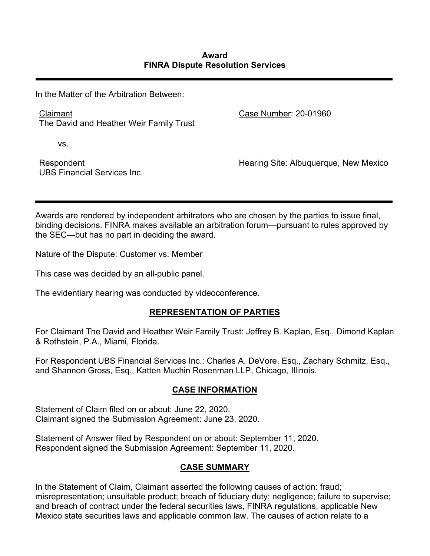In the Matter of the Arbitration Between:

Claimant The David and Heather Weir Family Trust Case Number: 20-01960

vs.

Respondent UBS Financial Services Inc. Hearing Site: Albuquerque, New Mexico

Awards are rendered by independent arbitrators who are chosen by the parties to issue final, binding decisions. FINRA makes available an arbitration forum—pursuant to rules approved by the SEC—but has no part in deciding the award.

Nature of the Dispute: Customer vs. Member

This case was decided by an all-public panel.

The evidentiary hearing was conducted by videoconference.

# **REPRESENTATION OF PARTIES**

For Claimant The David and Heather Weir Family Trust: Jeffrey B. Kaplan, Esq., Dimond Kaplan & Rothstein, P.A., Miami, Florida.

For Respondent UBS Financial Services Inc.: Charles A. DeVore, Esq., Zachary Schmitz, Esq., and Shannon Gross, Esq., Katten Muchin Rosenman LLP, Chicago, Illinois.

# **CASE INFORMATION**

Statement of Claim filed on or about: June 22, 2020. Claimant signed the Submission Agreement: June 23, 2020.

Statement of Answer filed by Respondent on or about: September 11, 2020. Respondent signed the Submission Agreement: September 11, 2020.

# **CASE SUMMARY**

In the Statement of Claim, Claimant asserted the following causes of action: fraud; misrepresentation; unsuitable product; breach of fiduciary duty; negligence; failure to supervise; and breach of contract under the federal securities laws, FINRA regulations, applicable New Mexico state securities laws and applicable common law. The causes of action relate to a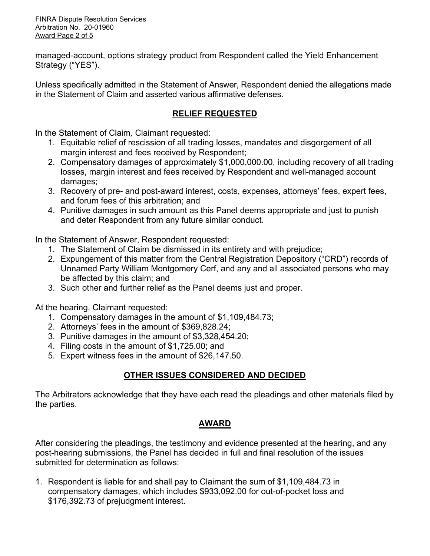FINRA Dispute Resolution Services Arbitration No. 20-01960 Award Page 2 of 5

managed-account, options strategy product from Respondent called the Yield Enhancement Strategy ("YES").

Unless specifically admitted in the Statement of Answer, Respondent denied the allegations made in the Statement of Claim and asserted various affirmative defenses.

# **RELIEF REQUESTED**

In the Statement of Claim*,* Claimant requested:

- 1. Equitable relief of rescission of all trading losses, mandates and disgorgement of all margin interest and fees received by Respondent;
- 2. Compensatory damages of approximately \$1,000,000.00, including recovery of all trading losses, margin interest and fees received by Respondent and well-managed account damages;
- 3. Recovery of pre- and post-award interest, costs, expenses, attorneys' fees, expert fees, and forum fees of this arbitration; and
- 4. Punitive damages in such amount as this Panel deems appropriate and just to punish and deter Respondent from any future similar conduct.

In the Statement of Answer, Respondent requested:

- 1. The Statement of Claim be dismissed in its entirety and with prejudice;
- 2. Expungement of this matter from the Central Registration Depository ("CRD") records of Unnamed Party William Montgomery Cerf, and any and all associated persons who may be affected by this claim; and
- 3. Such other and further relief as the Panel deems just and proper.

At the hearing, Claimant requested:

- 1. Compensatory damages in the amount of \$1,109,484.73;
- 2. Attorneys' fees in the amount of \$369,828.24;
- 3. Punitive damages in the amount of \$3,328,454.20;
- 4. Filing costs in the amount of \$1,725.00; and
- 5. Expert witness fees in the amount of \$26,147.50.

# **OTHER ISSUES CONSIDERED AND DECIDED**

The Arbitrators acknowledge that they have each read the pleadings and other materials filed by the parties.

# **AWARD**

After considering the pleadings, the testimony and evidence presented at the hearing, and any post-hearing submissions, the Panel has decided in full and final resolution of the issues submitted for determination as follows:

1. Respondent is liable for and shall pay to Claimant the sum of \$1,109,484.73 in compensatory damages, which includes \$933,092.00 for out-of-pocket loss and \$176,392.73 of prejudgment interest.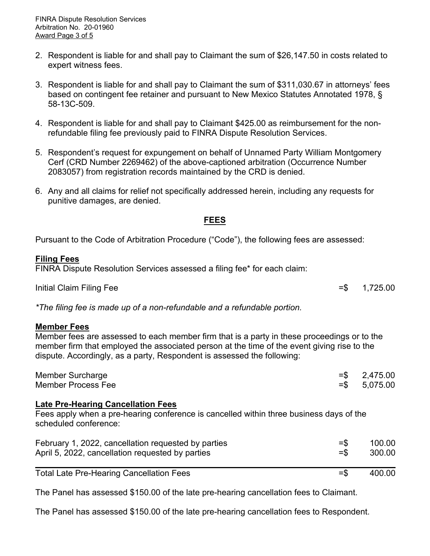- 2. Respondent is liable for and shall pay to Claimant the sum of \$26,147.50 in costs related to expert witness fees.
- 3. Respondent is liable for and shall pay to Claimant the sum of \$311,030.67 in attorneys' fees based on contingent fee retainer and pursuant to New Mexico Statutes Annotated 1978, § 58-13C-509.
- 4. Respondent is liable for and shall pay to Claimant \$425.00 as reimbursement for the nonrefundable filing fee previously paid to FINRA Dispute Resolution Services.
- 5. Respondent's request for expungement on behalf of Unnamed Party William Montgomery Cerf (CRD Number 2269462) of the above-captioned arbitration (Occurrence Number 2083057) from registration records maintained by the CRD is denied.
- 6. Any and all claims for relief not specifically addressed herein, including any requests for punitive damages, are denied.

# **FEES**

Pursuant to the Code of Arbitration Procedure ("Code"), the following fees are assessed:

#### **Filing Fees**

FINRA Dispute Resolution Services assessed a filing fee\* for each claim:

Initial Claim Filing Fee  $=$  \$ 1,725.00

*\*The filing fee is made up of a non-refundable and a refundable portion.*

#### **Member Fees**

Member fees are assessed to each member firm that is a party in these proceedings or to the member firm that employed the associated person at the time of the event giving rise to the dispute. Accordingly, as a party, Respondent is assessed the following:

| Member Surcharge   | $=$ \$ 2,475.00 |
|--------------------|-----------------|
| Member Process Fee | $=$ \$ 5,075.00 |

#### **Late Pre-Hearing Cancellation Fees**

Fees apply when a pre-hearing conference is cancelled within three business days of the scheduled conference:

| February 1, 2022, cancellation requested by parties | $=$ \$ | 100.00 |
|-----------------------------------------------------|--------|--------|
| April 5, 2022, cancellation requested by parties    | $=$ \$ | 300.00 |
|                                                     |        |        |

Total Late Pre-Hearing Cancellation Fees =  $\frac{1}{2}$  =  $\frac{400.00}{2}$ 

The Panel has assessed \$150.00 of the late pre-hearing cancellation fees to Claimant.

The Panel has assessed \$150.00 of the late pre-hearing cancellation fees to Respondent.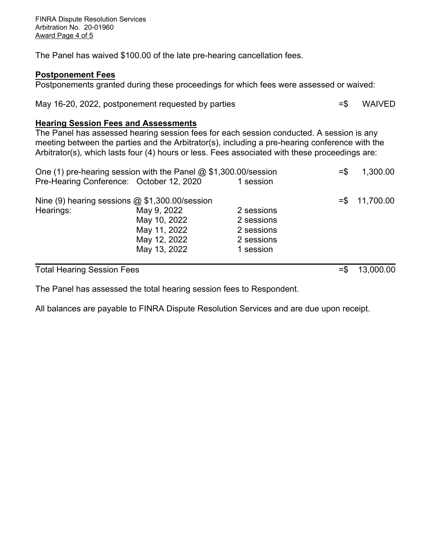The Panel has waived \$100.00 of the late pre-hearing cancellation fees.

#### **Postponement Fees**

Postponements granted during these proceedings for which fees were assessed or waived:

May 16-20, 2022, postponement requested by parties  $=$   $\frac{1}{5}$  WAIVED

#### **Hearing Session Fees and Assessments**

The Panel has assessed hearing session fees for each session conducted. A session is any meeting between the parties and the Arbitrator(s), including a pre-hearing conference with the Arbitrator(s), which lasts four (4) hours or less. Fees associated with these proceedings are:

| <b>Total Hearing Session Fees</b>                               |                                          |                          | $=$ \$ | 13,000.00       |
|-----------------------------------------------------------------|------------------------------------------|--------------------------|--------|-----------------|
|                                                                 | May 13, 2022                             | 1 session                |        |                 |
|                                                                 | May 11, 2022<br>May 12, 2022             | 2 sessions<br>2 sessions |        |                 |
|                                                                 | May 10, 2022                             | 2 sessions               |        |                 |
| Hearings:                                                       | May 9, 2022                              | 2 sessions               |        |                 |
| Nine (9) hearing sessions $@$ \$1,300.00/session                |                                          |                          |        | $= $ 11,700.00$ |
|                                                                 | Pre-Hearing Conference: October 12, 2020 | 1 session                |        |                 |
| One (1) pre-hearing session with the Panel @ \$1,300.00/session |                                          |                          |        | 1,300.00        |

The Panel has assessed the total hearing session fees to Respondent.

All balances are payable to FINRA Dispute Resolution Services and are due upon receipt.